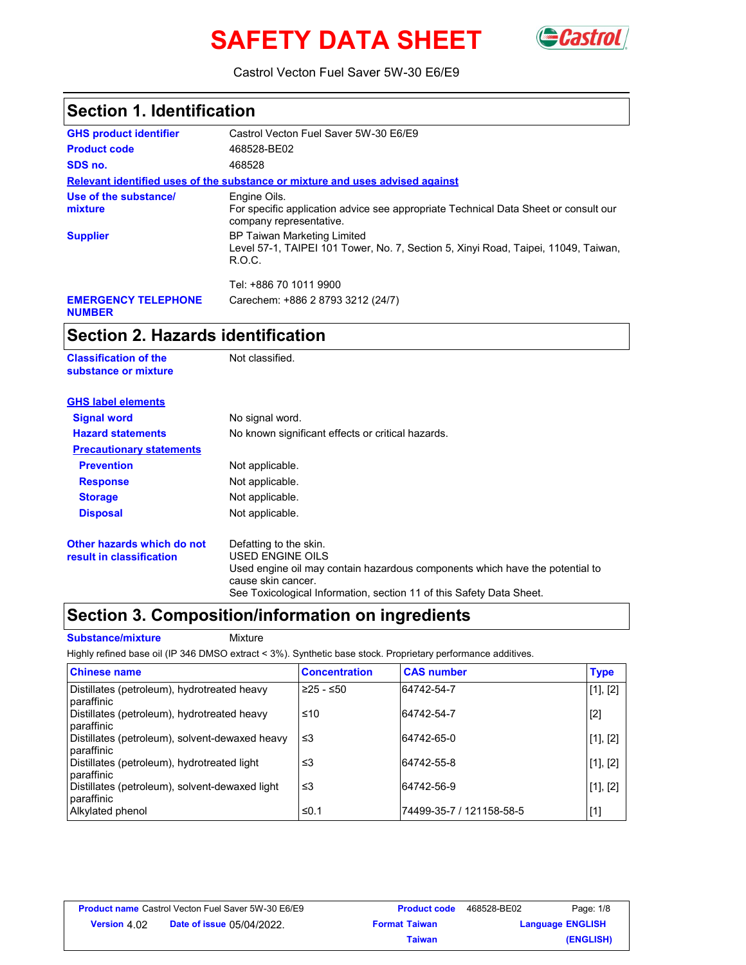# **SAFETY DATA SHEET**



Castrol Vecton Fuel Saver 5W-30 E6/E9

| <b>Section 1. Identification</b>            |                                                                                                                                    |  |
|---------------------------------------------|------------------------------------------------------------------------------------------------------------------------------------|--|
| <b>GHS product identifier</b>               | Castrol Vecton Fuel Saver 5W-30 E6/E9                                                                                              |  |
| <b>Product code</b>                         | 468528-BE02                                                                                                                        |  |
| SDS no.                                     | 468528                                                                                                                             |  |
|                                             | Relevant identified uses of the substance or mixture and uses advised against                                                      |  |
| Use of the substance/<br>mixture            | Engine Oils.<br>For specific application advice see appropriate Technical Data Sheet or consult our<br>company representative.     |  |
| <b>Supplier</b>                             | <b>BP Taiwan Marketing Limited</b><br>Level 57-1, TAIPEI 101 Tower, No. 7, Section 5, Xinyi Road, Taipei, 11049, Taiwan,<br>R.O.C. |  |
|                                             | Tel: +886 70 1011 9900                                                                                                             |  |
| <b>EMERGENCY TELEPHONE</b><br><b>NUMBER</b> | Carechem: +886 2 8793 3212 (24/7)                                                                                                  |  |

### **Section 2. Hazards identification**

| <b>Classification of the</b><br>substance or mixture   | Not classified.                                                                                    |
|--------------------------------------------------------|----------------------------------------------------------------------------------------------------|
| <b>GHS label elements</b>                              |                                                                                                    |
| <b>Signal word</b>                                     | No signal word.                                                                                    |
| <b>Hazard statements</b>                               | No known significant effects or critical hazards.                                                  |
| <b>Precautionary statements</b>                        |                                                                                                    |
| <b>Prevention</b>                                      | Not applicable.                                                                                    |
| <b>Response</b>                                        | Not applicable.                                                                                    |
| <b>Storage</b>                                         | Not applicable.                                                                                    |
| <b>Disposal</b>                                        | Not applicable.                                                                                    |
| Other hazards which do not<br>result in classification | Defatting to the skin.<br><b>USED ENGINE OILS</b>                                                  |
|                                                        | Used engine oil may contain hazardous components which have the potential to<br>cause skin cancer. |
|                                                        | See Toxicological Information, section 11 of this Safety Data Sheet.                               |

### **Section 3. Composition/information on ingredients**

**Substance/mixture Mixture** 

Highly refined base oil (IP 346 DMSO extract < 3%). Synthetic base stock. Proprietary performance additives.

| <b>Chinese name</b>                                          | <b>Concentration</b> | <b>CAS number</b>        | <b>Type</b> |
|--------------------------------------------------------------|----------------------|--------------------------|-------------|
| Distillates (petroleum), hydrotreated heavy<br>paraffinic    | $≥25 - ≤50$          | 64742-54-7               | [1], [2]    |
| Distillates (petroleum), hydrotreated heavy<br>paraffinic    | ≤10                  | 64742-54-7               | $[2]$       |
| Distillates (petroleum), solvent-dewaxed heavy<br>paraffinic | ≤3                   | 64742-65-0               | [1], [2]    |
| Distillates (petroleum), hydrotreated light<br>paraffinic    | ≤3                   | 64742-55-8               | [1], [2]    |
| Distillates (petroleum), solvent-dewaxed light<br>paraffinic | ≤3                   | 64742-56-9               | [1], [2]    |
| Alkylated phenol                                             | ≤0.1                 | 74499-35-7 / 121158-58-5 | $[1]$       |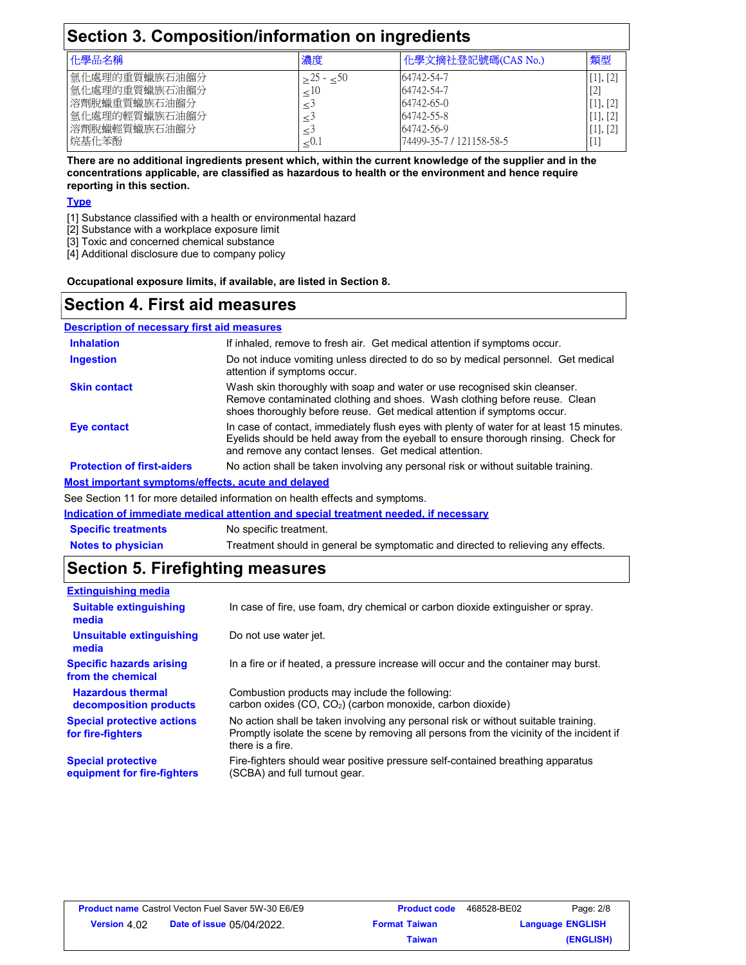### **Section 3. Composition/information on ingredients**

| 化學品名稱         | 濃度      | 化學文摘社登記號碼(CAS No.)       | 類型       |  |
|---------------|---------|--------------------------|----------|--|
| 氩化處理的重質蠟族石油餾分 | ${<}50$ | 64742-54-7               | [1], [2] |  |
| 氫化處理的重質蠟族石油餾分 |         | 64742-54-7               | LOJ      |  |
| 溶劑脫蠟重質蠟族石油餾分  |         | 64742-65-0               | [1], [2] |  |
| 氫化處理的輕質蠟族石油餾分 |         | 64742-55-8               | [1], [2] |  |
| 溶劑脫蠟輕質蠟族石油餾分  |         | 64742-56-9               | [1], [2] |  |
| 烷基化苯酚         | ≤∪.     | 74499-35-7 / 121158-58-5 | L+.      |  |

**There are no additional ingredients present which, within the current knowledge of the supplier and in the concentrations applicable, are classified as hazardous to health or the environment and hence require reporting in this section.**

#### **Type**

- [1] Substance classified with a health or environmental hazard
- [2] Substance with a workplace exposure limit
- [3] Toxic and concerned chemical substance
- [4] Additional disclosure due to company policy

**Occupational exposure limits, if available, are listed in Section 8.**

### **Section 4. First aid measures**

#### **Description of necessary first aid measures**

| <b>Inhalation</b>                                  | If inhaled, remove to fresh air. Get medical attention if symptoms occur.                                                                                                                                                               |
|----------------------------------------------------|-----------------------------------------------------------------------------------------------------------------------------------------------------------------------------------------------------------------------------------------|
| <b>Ingestion</b>                                   | Do not induce vomiting unless directed to do so by medical personnel. Get medical<br>attention if symptoms occur.                                                                                                                       |
| <b>Skin contact</b>                                | Wash skin thoroughly with soap and water or use recognised skin cleanser.<br>Remove contaminated clothing and shoes. Wash clothing before reuse. Clean<br>shoes thoroughly before reuse. Get medical attention if symptoms occur.       |
| Eye contact                                        | In case of contact, immediately flush eyes with plenty of water for at least 15 minutes.<br>Eyelids should be held away from the eyeball to ensure thorough rinsing. Check for<br>and remove any contact lenses. Get medical attention. |
| <b>Protection of first-aiders</b>                  | No action shall be taken involving any personal risk or without suitable training.                                                                                                                                                      |
| Most important symptoms/effects, acute and delayed |                                                                                                                                                                                                                                         |

See Section 11 for more detailed information on health effects and symptoms.

| Indication of immediate medical attention and special treatment needed, if necessary |                                                                                   |  |  |
|--------------------------------------------------------------------------------------|-----------------------------------------------------------------------------------|--|--|
| <b>Specific treatments</b>                                                           | No specific treatment.                                                            |  |  |
| <b>Notes to physician</b>                                                            | Treatment should in general be symptomatic and directed to relieving any effects. |  |  |

### **Section 5. Firefighting measures**

| <b>Extinguishing media</b>                               |                                                                                                                                                                                                   |
|----------------------------------------------------------|---------------------------------------------------------------------------------------------------------------------------------------------------------------------------------------------------|
| <b>Suitable extinguishing</b><br>media                   | In case of fire, use foam, dry chemical or carbon dioxide extinguisher or spray.                                                                                                                  |
| Unsuitable extinguishing<br>media                        | Do not use water jet.                                                                                                                                                                             |
| <b>Specific hazards arising</b><br>from the chemical     | In a fire or if heated, a pressure increase will occur and the container may burst.                                                                                                               |
| <b>Hazardous thermal</b><br>decomposition products       | Combustion products may include the following:<br>carbon oxides (CO, CO <sub>2</sub> ) (carbon monoxide, carbon dioxide)                                                                          |
| <b>Special protective actions</b><br>for fire-fighters   | No action shall be taken involving any personal risk or without suitable training.<br>Promptly isolate the scene by removing all persons from the vicinity of the incident if<br>there is a fire. |
| <b>Special protective</b><br>equipment for fire-fighters | Fire-fighters should wear positive pressure self-contained breathing apparatus<br>(SCBA) and full turnout gear.                                                                                   |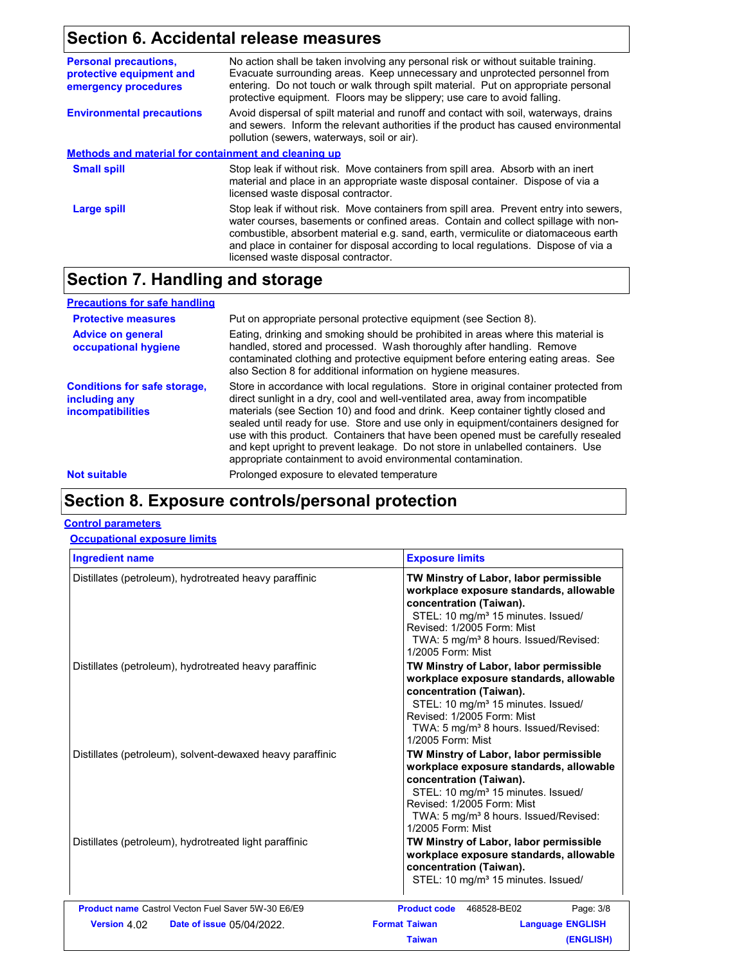### **Section 6. Accidental release measures**

| No action shall be taken involving any personal risk or without suitable training.<br>Evacuate surrounding areas. Keep unnecessary and unprotected personnel from<br>entering. Do not touch or walk through spilt material. Put on appropriate personal<br>protective equipment. Floors may be slippery; use care to avoid falling.                                                                |  |  |
|----------------------------------------------------------------------------------------------------------------------------------------------------------------------------------------------------------------------------------------------------------------------------------------------------------------------------------------------------------------------------------------------------|--|--|
| Avoid dispersal of spilt material and runoff and contact with soil, waterways, drains<br>and sewers. Inform the relevant authorities if the product has caused environmental<br>pollution (sewers, waterways, soil or air).                                                                                                                                                                        |  |  |
| <b>Methods and material for containment and cleaning up</b>                                                                                                                                                                                                                                                                                                                                        |  |  |
| Stop leak if without risk. Move containers from spill area. Absorb with an inert<br>material and place in an appropriate waste disposal container. Dispose of via a<br>licensed waste disposal contractor.                                                                                                                                                                                         |  |  |
| Stop leak if without risk. Move containers from spill area. Prevent entry into sewers,<br>water courses, basements or confined areas. Contain and collect spillage with non-<br>combustible, absorbent material e.g. sand, earth, vermiculite or diatomaceous earth<br>and place in container for disposal according to local regulations. Dispose of via a<br>licensed waste disposal contractor. |  |  |
|                                                                                                                                                                                                                                                                                                                                                                                                    |  |  |

### **Section 7. Handling and storage**

| <b>Precautions for safe handling</b>                                             |                                                                                                                                                                                                                                                                                                                                                                                                                                                                                                                                                                                                |
|----------------------------------------------------------------------------------|------------------------------------------------------------------------------------------------------------------------------------------------------------------------------------------------------------------------------------------------------------------------------------------------------------------------------------------------------------------------------------------------------------------------------------------------------------------------------------------------------------------------------------------------------------------------------------------------|
| <b>Protective measures</b>                                                       | Put on appropriate personal protective equipment (see Section 8).                                                                                                                                                                                                                                                                                                                                                                                                                                                                                                                              |
| <b>Advice on general</b><br>occupational hygiene                                 | Eating, drinking and smoking should be prohibited in areas where this material is<br>handled, stored and processed. Wash thoroughly after handling. Remove<br>contaminated clothing and protective equipment before entering eating areas. See<br>also Section 8 for additional information on hygiene measures.                                                                                                                                                                                                                                                                               |
| <b>Conditions for safe storage,</b><br>including any<br><i>incompatibilities</i> | Store in accordance with local regulations. Store in original container protected from<br>direct sunlight in a dry, cool and well-ventilated area, away from incompatible<br>materials (see Section 10) and food and drink. Keep container tightly closed and<br>sealed until ready for use. Store and use only in equipment/containers designed for<br>use with this product. Containers that have been opened must be carefully resealed<br>and kept upright to prevent leakage. Do not store in unlabelled containers. Use<br>appropriate containment to avoid environmental contamination. |
| <b>Not suitable</b>                                                              | Prolonged exposure to elevated temperature                                                                                                                                                                                                                                                                                                                                                                                                                                                                                                                                                     |

## **Section 8. Exposure controls/personal protection**

#### **Control parameters**

#### **Occupational exposure limits**

| <b>Ingredient name</b>                                    | <b>Exposure limits</b><br>TW Minstry of Labor, labor permissible<br>workplace exposure standards, allowable<br>concentration (Taiwan).<br>STEL: 10 mg/m <sup>3</sup> 15 minutes. Issued/<br>Revised: 1/2005 Form: Mist<br>TWA: 5 mg/m <sup>3</sup> 8 hours. Issued/Revised:<br>1/2005 Form: Mist |  |  |
|-----------------------------------------------------------|--------------------------------------------------------------------------------------------------------------------------------------------------------------------------------------------------------------------------------------------------------------------------------------------------|--|--|
| Distillates (petroleum), hydrotreated heavy paraffinic    |                                                                                                                                                                                                                                                                                                  |  |  |
| Distillates (petroleum), hydrotreated heavy paraffinic    | TW Minstry of Labor, labor permissible<br>workplace exposure standards, allowable<br>concentration (Taiwan).<br>STEL: 10 mg/m <sup>3</sup> 15 minutes. Issued/<br>Revised: 1/2005 Form: Mist<br>TWA: 5 mg/m <sup>3</sup> 8 hours. Issued/Revised:<br>1/2005 Form: Mist                           |  |  |
| Distillates (petroleum), solvent-dewaxed heavy paraffinic | TW Minstry of Labor, labor permissible<br>workplace exposure standards, allowable<br>concentration (Taiwan).<br>STEL: 10 mg/m <sup>3</sup> 15 minutes. Issued/<br>Revised: 1/2005 Form: Mist<br>TWA: 5 mg/m <sup>3</sup> 8 hours. Issued/Revised:<br>1/2005 Form: Mist                           |  |  |
| Distillates (petroleum), hydrotreated light paraffinic    | TW Minstry of Labor, labor permissible<br>workplace exposure standards, allowable<br>concentration (Taiwan).<br>STEL: 10 mg/m <sup>3</sup> 15 minutes. Issued/                                                                                                                                   |  |  |
| <b>Product name Castrol Vecton Fuel Saver 5W-30 E6/E9</b> | Product code 468528-BE02<br>Page: 3/8                                                                                                                                                                                                                                                            |  |  |
| Version 4.02<br>Date of issue 05/04/2022.                 | <b>Format Taiwan</b><br><b>Language ENGLISH</b>                                                                                                                                                                                                                                                  |  |  |
|                                                           | <b>Taiwan</b><br>(ENGLISH)                                                                                                                                                                                                                                                                       |  |  |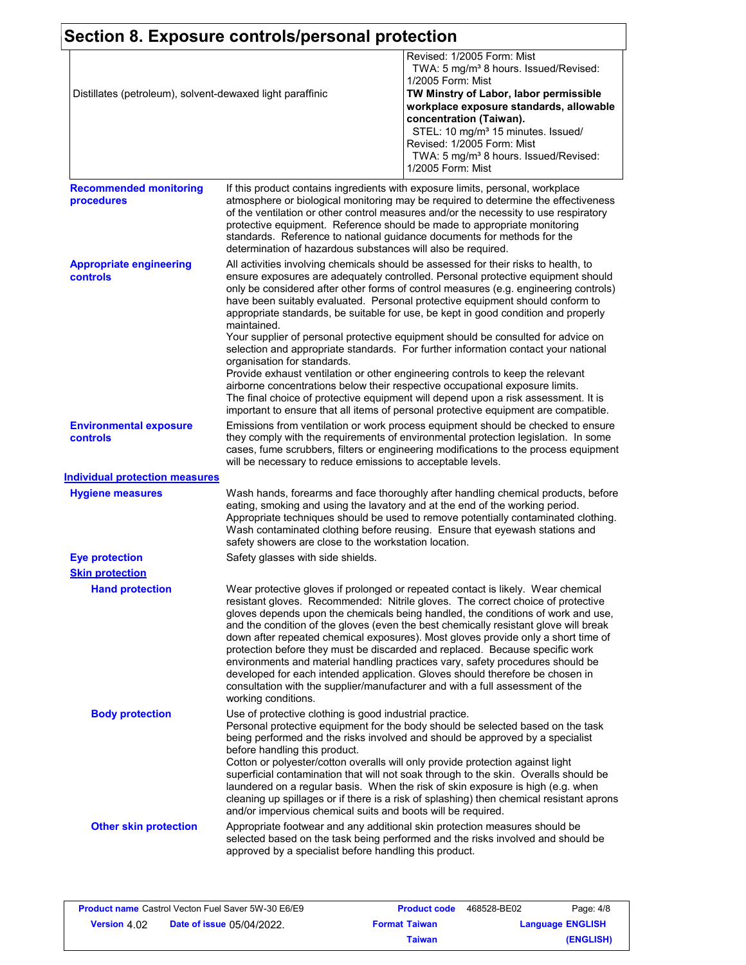|                                                           | Section 8. Exposure controls/personal protection                                                                                                         |                                                                                                                                                                                                                                                                                                                                                                                                                                                                                                                                                                                                                                                                                                                                                                                                                                                                                                                                                                 |  |  |
|-----------------------------------------------------------|----------------------------------------------------------------------------------------------------------------------------------------------------------|-----------------------------------------------------------------------------------------------------------------------------------------------------------------------------------------------------------------------------------------------------------------------------------------------------------------------------------------------------------------------------------------------------------------------------------------------------------------------------------------------------------------------------------------------------------------------------------------------------------------------------------------------------------------------------------------------------------------------------------------------------------------------------------------------------------------------------------------------------------------------------------------------------------------------------------------------------------------|--|--|
| Distillates (petroleum), solvent-dewaxed light paraffinic |                                                                                                                                                          | Revised: 1/2005 Form: Mist<br>TWA: 5 mg/m <sup>3</sup> 8 hours. Issued/Revised:<br>1/2005 Form: Mist<br>TW Minstry of Labor, labor permissible<br>workplace exposure standards, allowable<br>concentration (Taiwan).<br>STEL: 10 mg/m <sup>3</sup> 15 minutes. Issued/<br>Revised: 1/2005 Form: Mist<br>TWA: 5 mg/m <sup>3</sup> 8 hours. Issued/Revised:<br>1/2005 Form: Mist                                                                                                                                                                                                                                                                                                                                                                                                                                                                                                                                                                                  |  |  |
| <b>Recommended monitoring</b><br>procedures               | determination of hazardous substances will also be required.                                                                                             | If this product contains ingredients with exposure limits, personal, workplace<br>atmosphere or biological monitoring may be required to determine the effectiveness<br>of the ventilation or other control measures and/or the necessity to use respiratory<br>protective equipment. Reference should be made to appropriate monitoring<br>standards. Reference to national guidance documents for methods for the                                                                                                                                                                                                                                                                                                                                                                                                                                                                                                                                             |  |  |
| <b>Appropriate engineering</b><br>controls                | maintained.<br>organisation for standards.                                                                                                               | All activities involving chemicals should be assessed for their risks to health, to<br>ensure exposures are adequately controlled. Personal protective equipment should<br>only be considered after other forms of control measures (e.g. engineering controls)<br>have been suitably evaluated. Personal protective equipment should conform to<br>appropriate standards, be suitable for use, be kept in good condition and properly<br>Your supplier of personal protective equipment should be consulted for advice on<br>selection and appropriate standards. For further information contact your national<br>Provide exhaust ventilation or other engineering controls to keep the relevant<br>airborne concentrations below their respective occupational exposure limits.<br>The final choice of protective equipment will depend upon a risk assessment. It is<br>important to ensure that all items of personal protective equipment are compatible. |  |  |
| <b>Environmental exposure</b><br>controls                 | will be necessary to reduce emissions to acceptable levels.                                                                                              | Emissions from ventilation or work process equipment should be checked to ensure<br>they comply with the requirements of environmental protection legislation. In some<br>cases, fume scrubbers, filters or engineering modifications to the process equipment                                                                                                                                                                                                                                                                                                                                                                                                                                                                                                                                                                                                                                                                                                  |  |  |
| <b>Individual protection measures</b>                     |                                                                                                                                                          |                                                                                                                                                                                                                                                                                                                                                                                                                                                                                                                                                                                                                                                                                                                                                                                                                                                                                                                                                                 |  |  |
| <b>Hygiene measures</b>                                   | safety showers are close to the workstation location.                                                                                                    | Wash hands, forearms and face thoroughly after handling chemical products, before<br>eating, smoking and using the lavatory and at the end of the working period.<br>Appropriate techniques should be used to remove potentially contaminated clothing.<br>Wash contaminated clothing before reusing. Ensure that eyewash stations and                                                                                                                                                                                                                                                                                                                                                                                                                                                                                                                                                                                                                          |  |  |
| <b>Eye protection</b>                                     | Safety glasses with side shields.                                                                                                                        |                                                                                                                                                                                                                                                                                                                                                                                                                                                                                                                                                                                                                                                                                                                                                                                                                                                                                                                                                                 |  |  |
| <b>Skin protection</b>                                    |                                                                                                                                                          |                                                                                                                                                                                                                                                                                                                                                                                                                                                                                                                                                                                                                                                                                                                                                                                                                                                                                                                                                                 |  |  |
| <b>Hand protection</b>                                    | working conditions.                                                                                                                                      | Wear protective gloves if prolonged or repeated contact is likely. Wear chemical<br>resistant gloves. Recommended: Nitrile gloves. The correct choice of protective<br>gloves depends upon the chemicals being handled, the conditions of work and use,<br>and the condition of the gloves (even the best chemically resistant glove will break<br>down after repeated chemical exposures). Most gloves provide only a short time of<br>protection before they must be discarded and replaced. Because specific work<br>environments and material handling practices vary, safety procedures should be<br>developed for each intended application. Gloves should therefore be chosen in<br>consultation with the supplier/manufacturer and with a full assessment of the                                                                                                                                                                                        |  |  |
| <b>Body protection</b>                                    | Use of protective clothing is good industrial practice.<br>before handling this product.<br>and/or impervious chemical suits and boots will be required. | Personal protective equipment for the body should be selected based on the task<br>being performed and the risks involved and should be approved by a specialist<br>Cotton or polyester/cotton overalls will only provide protection against light<br>superficial contamination that will not soak through to the skin. Overalls should be<br>laundered on a regular basis. When the risk of skin exposure is high (e.g. when<br>cleaning up spillages or if there is a risk of splashing) then chemical resistant aprons                                                                                                                                                                                                                                                                                                                                                                                                                                       |  |  |
| <b>Other skin protection</b>                              | approved by a specialist before handling this product.                                                                                                   | Appropriate footwear and any additional skin protection measures should be<br>selected based on the task being performed and the risks involved and should be                                                                                                                                                                                                                                                                                                                                                                                                                                                                                                                                                                                                                                                                                                                                                                                                   |  |  |

| <b>Product name Castrol Vecton Fuel Saver 5W-30 E6/E9</b> |  | <b>Product code</b>  | 468528-BE02 | Page: 4/8               |
|-----------------------------------------------------------|--|----------------------|-------------|-------------------------|
| <b>Date of issue 05/04/2022.</b><br><b>Version 4.02</b>   |  | <b>Format Taiwan</b> |             | <b>Language ENGLISH</b> |
|                                                           |  | Taiwan               |             | (ENGLISH)               |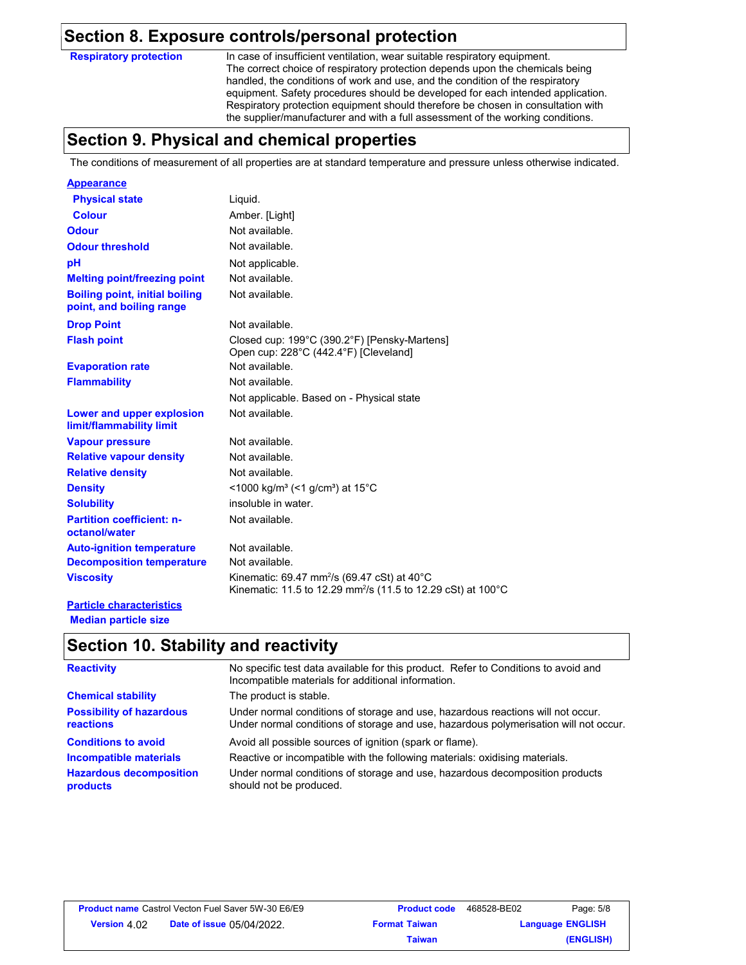### **Section 8. Exposure controls/personal protection**

**Respiratory protection**

In case of insufficient ventilation, wear suitable respiratory equipment. The correct choice of respiratory protection depends upon the chemicals being handled, the conditions of work and use, and the condition of the respiratory equipment. Safety procedures should be developed for each intended application. Respiratory protection equipment should therefore be chosen in consultation with the supplier/manufacturer and with a full assessment of the working conditions.

### **Section 9. Physical and chemical properties**

The conditions of measurement of all properties are at standard temperature and pressure unless otherwise indicated.

| <b>Appearance</b>                                                 |                                                                                                                                                |
|-------------------------------------------------------------------|------------------------------------------------------------------------------------------------------------------------------------------------|
| <b>Physical state</b>                                             | Liquid.                                                                                                                                        |
| <b>Colour</b>                                                     | Amber. [Light]                                                                                                                                 |
| <b>Odour</b>                                                      | Not available.                                                                                                                                 |
| <b>Odour threshold</b>                                            | Not available.                                                                                                                                 |
| рH                                                                | Not applicable.                                                                                                                                |
| <b>Melting point/freezing point</b>                               | Not available.                                                                                                                                 |
| <b>Boiling point, initial boiling</b><br>point, and boiling range | Not available.                                                                                                                                 |
| <b>Drop Point</b>                                                 | Not available.                                                                                                                                 |
| <b>Flash point</b>                                                | Closed cup: 199°C (390.2°F) [Pensky-Martens]<br>Open cup: 228°C (442.4°F) [Cleveland]                                                          |
| <b>Evaporation rate</b>                                           | Not available.                                                                                                                                 |
| <b>Flammability</b>                                               | Not available.                                                                                                                                 |
|                                                                   | Not applicable. Based on - Physical state                                                                                                      |
| Lower and upper explosion<br>limit/flammability limit             | Not available.                                                                                                                                 |
| <b>Vapour pressure</b>                                            | Not available.                                                                                                                                 |
| <b>Relative vapour density</b>                                    | Not available.                                                                                                                                 |
| <b>Relative density</b>                                           | Not available.                                                                                                                                 |
| <b>Density</b>                                                    | <1000 kg/m <sup>3</sup> (<1 g/cm <sup>3</sup> ) at 15 <sup>°</sup> C                                                                           |
| <b>Solubility</b>                                                 | insoluble in water.                                                                                                                            |
| <b>Partition coefficient: n-</b><br>octanol/water                 | Not available.                                                                                                                                 |
| <b>Auto-ignition temperature</b>                                  | Not available.                                                                                                                                 |
| <b>Decomposition temperature</b>                                  | Not available.                                                                                                                                 |
| <b>Viscosity</b>                                                  | Kinematic: 69.47 mm <sup>2</sup> /s (69.47 cSt) at 40 $^{\circ}$ C<br>Kinematic: 11.5 to 12.29 mm <sup>2</sup> /s (11.5 to 12.29 cSt) at 100°C |
| Provided a contractor and action                                  |                                                                                                                                                |

#### **Particle characteristics Median particle size**

### **Section 10. Stability and reactivity**

| <b>Reactivity</b>                            | No specific test data available for this product. Refer to Conditions to avoid and<br>Incompatible materials for additional information.                                |
|----------------------------------------------|-------------------------------------------------------------------------------------------------------------------------------------------------------------------------|
| <b>Chemical stability</b>                    | The product is stable.                                                                                                                                                  |
| <b>Possibility of hazardous</b><br>reactions | Under normal conditions of storage and use, hazardous reactions will not occur.<br>Under normal conditions of storage and use, hazardous polymerisation will not occur. |
| <b>Conditions to avoid</b>                   | Avoid all possible sources of ignition (spark or flame).                                                                                                                |
| Incompatible materials                       | Reactive or incompatible with the following materials: oxidising materials.                                                                                             |
| <b>Hazardous decomposition</b><br>products   | Under normal conditions of storage and use, hazardous decomposition products<br>should not be produced.                                                                 |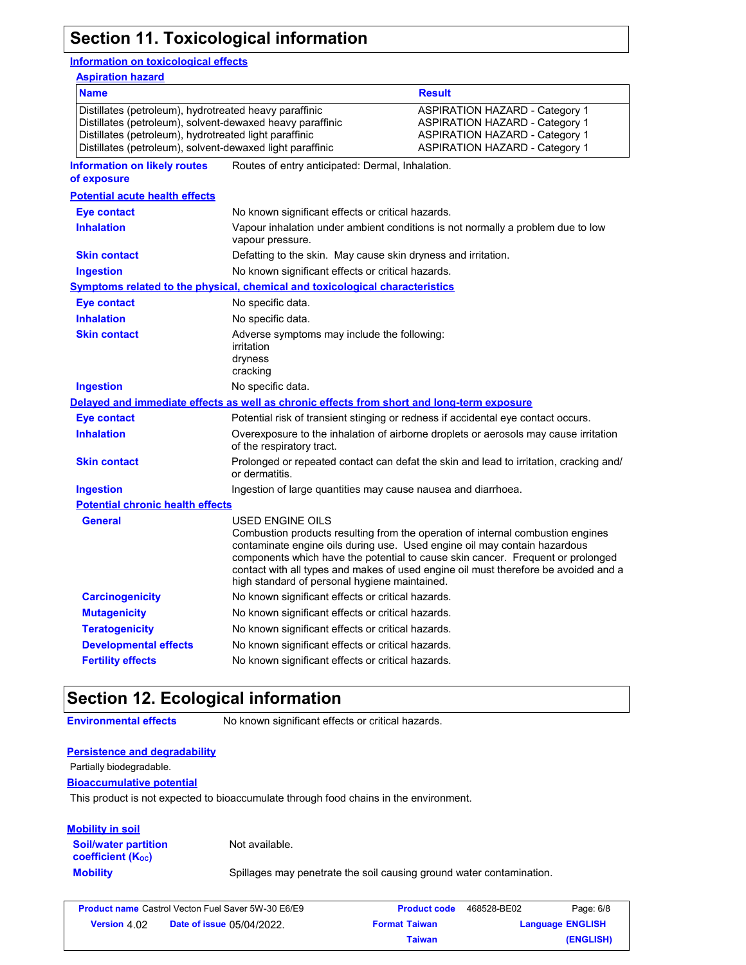### **Section 11. Toxicological information**

#### **Information on toxicological effects**

| <b>Aspiration hazard</b>                                                                                                                                                                                                                   |                                                                                            |                                                                                                                                                                                                                                                                                                                                        |  |
|--------------------------------------------------------------------------------------------------------------------------------------------------------------------------------------------------------------------------------------------|--------------------------------------------------------------------------------------------|----------------------------------------------------------------------------------------------------------------------------------------------------------------------------------------------------------------------------------------------------------------------------------------------------------------------------------------|--|
| <b>Name</b>                                                                                                                                                                                                                                |                                                                                            | <b>Result</b>                                                                                                                                                                                                                                                                                                                          |  |
| Distillates (petroleum), hydrotreated heavy paraffinic<br>Distillates (petroleum), solvent-dewaxed heavy paraffinic<br>Distillates (petroleum), hydrotreated light paraffinic<br>Distillates (petroleum), solvent-dewaxed light paraffinic |                                                                                            | <b>ASPIRATION HAZARD - Category 1</b><br><b>ASPIRATION HAZARD - Category 1</b><br><b>ASPIRATION HAZARD - Category 1</b><br><b>ASPIRATION HAZARD - Category 1</b>                                                                                                                                                                       |  |
| <b>Information on likely routes</b><br>of exposure                                                                                                                                                                                         | Routes of entry anticipated: Dermal, Inhalation.                                           |                                                                                                                                                                                                                                                                                                                                        |  |
| <b>Potential acute health effects</b>                                                                                                                                                                                                      |                                                                                            |                                                                                                                                                                                                                                                                                                                                        |  |
| Eye contact                                                                                                                                                                                                                                | No known significant effects or critical hazards.                                          |                                                                                                                                                                                                                                                                                                                                        |  |
| <b>Inhalation</b>                                                                                                                                                                                                                          | vapour pressure.                                                                           | Vapour inhalation under ambient conditions is not normally a problem due to low                                                                                                                                                                                                                                                        |  |
| <b>Skin contact</b>                                                                                                                                                                                                                        | Defatting to the skin. May cause skin dryness and irritation.                              |                                                                                                                                                                                                                                                                                                                                        |  |
| <b>Ingestion</b>                                                                                                                                                                                                                           | No known significant effects or critical hazards.                                          |                                                                                                                                                                                                                                                                                                                                        |  |
|                                                                                                                                                                                                                                            | Symptoms related to the physical, chemical and toxicological characteristics               |                                                                                                                                                                                                                                                                                                                                        |  |
| Eye contact                                                                                                                                                                                                                                | No specific data.                                                                          |                                                                                                                                                                                                                                                                                                                                        |  |
| <b>Inhalation</b>                                                                                                                                                                                                                          | No specific data.                                                                          |                                                                                                                                                                                                                                                                                                                                        |  |
| <b>Skin contact</b>                                                                                                                                                                                                                        | Adverse symptoms may include the following:<br>irritation<br>dryness<br>cracking           |                                                                                                                                                                                                                                                                                                                                        |  |
| <b>Ingestion</b>                                                                                                                                                                                                                           | No specific data.                                                                          |                                                                                                                                                                                                                                                                                                                                        |  |
|                                                                                                                                                                                                                                            | Delayed and immediate effects as well as chronic effects from short and long-term exposure |                                                                                                                                                                                                                                                                                                                                        |  |
| <b>Eye contact</b>                                                                                                                                                                                                                         |                                                                                            | Potential risk of transient stinging or redness if accidental eye contact occurs.                                                                                                                                                                                                                                                      |  |
| <b>Inhalation</b>                                                                                                                                                                                                                          | of the respiratory tract.                                                                  | Overexposure to the inhalation of airborne droplets or aerosols may cause irritation                                                                                                                                                                                                                                                   |  |
| <b>Skin contact</b>                                                                                                                                                                                                                        | or dermatitis.                                                                             | Prolonged or repeated contact can defat the skin and lead to irritation, cracking and/                                                                                                                                                                                                                                                 |  |
| <b>Ingestion</b>                                                                                                                                                                                                                           | Ingestion of large quantities may cause nausea and diarrhoea.                              |                                                                                                                                                                                                                                                                                                                                        |  |
| <b>Potential chronic health effects</b>                                                                                                                                                                                                    |                                                                                            |                                                                                                                                                                                                                                                                                                                                        |  |
| General                                                                                                                                                                                                                                    | USED ENGINE OILS<br>high standard of personal hygiene maintained.                          | Combustion products resulting from the operation of internal combustion engines<br>contaminate engine oils during use. Used engine oil may contain hazardous<br>components which have the potential to cause skin cancer. Frequent or prolonged<br>contact with all types and makes of used engine oil must therefore be avoided and a |  |
| <b>Carcinogenicity</b>                                                                                                                                                                                                                     | No known significant effects or critical hazards.                                          |                                                                                                                                                                                                                                                                                                                                        |  |
| <b>Mutagenicity</b>                                                                                                                                                                                                                        | No known significant effects or critical hazards.                                          |                                                                                                                                                                                                                                                                                                                                        |  |
| <b>Teratogenicity</b>                                                                                                                                                                                                                      | No known significant effects or critical hazards.                                          |                                                                                                                                                                                                                                                                                                                                        |  |
|                                                                                                                                                                                                                                            |                                                                                            |                                                                                                                                                                                                                                                                                                                                        |  |
| <b>Developmental effects</b>                                                                                                                                                                                                               | No known significant effects or critical hazards.                                          |                                                                                                                                                                                                                                                                                                                                        |  |

### **Section 12. Ecological information**

**Environmental effects** No known significant effects or critical hazards.

#### **Persistence and degradability**

Partially biodegradable.

#### **Bioaccumulative potential**

This product is not expected to bioaccumulate through food chains in the environment.

#### **Mobility in soil**

**Soil/water partition coefficient (KOC)**

Not available.

**Mobility** Spillages may penetrate the soil causing ground water contamination.

|                     | <b>Product name</b> Castrol Vecton Fuel Saver 5W-30 E6/E9 | <b>Product code</b>  | 468528-BE02 | Page: 6/8               |
|---------------------|-----------------------------------------------------------|----------------------|-------------|-------------------------|
| <b>Version 4.02</b> | <b>Date of issue 05/04/2022.</b>                          | <b>Format Taiwan</b> |             | <b>Language ENGLISH</b> |
|                     |                                                           | Taiwan               |             | (ENGLISH)               |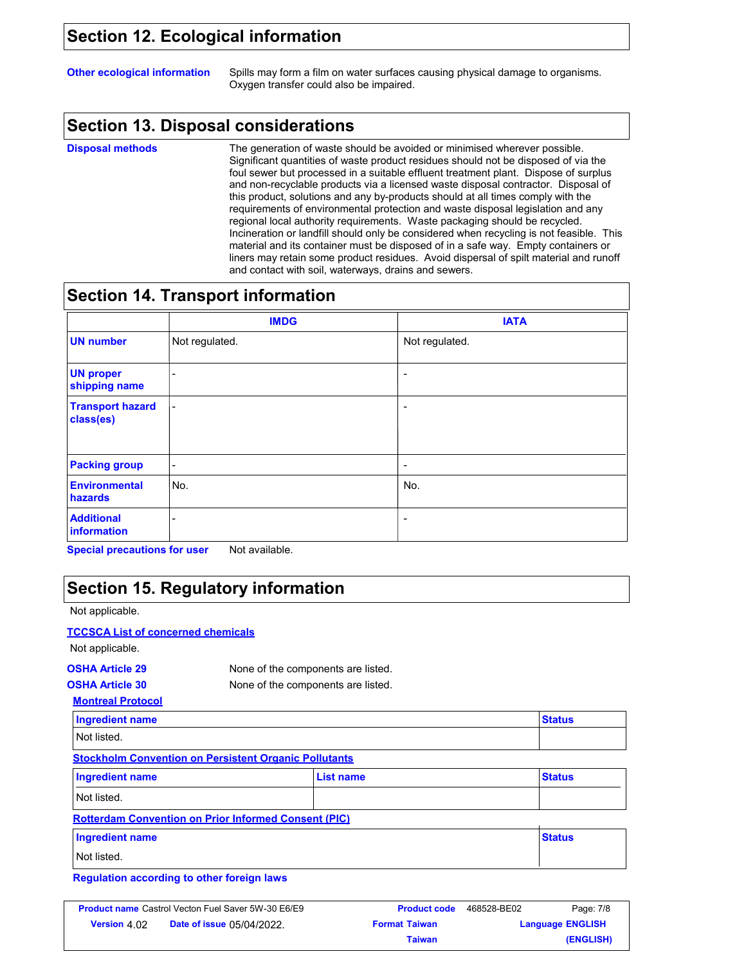### **Section 12. Ecological information**

**Other ecological information** Spills may form a film on water surfaces causing physical damage to organisms. Oxygen transfer could also be impaired.

### **Section 13. Disposal considerations**

**Disposal methods**

The generation of waste should be avoided or minimised wherever possible. Significant quantities of waste product residues should not be disposed of via the foul sewer but processed in a suitable effluent treatment plant. Dispose of surplus and non-recyclable products via a licensed waste disposal contractor. Disposal of this product, solutions and any by-products should at all times comply with the requirements of environmental protection and waste disposal legislation and any regional local authority requirements. Waste packaging should be recycled. Incineration or landfill should only be considered when recycling is not feasible. This material and its container must be disposed of in a safe way. Empty containers or liners may retain some product residues. Avoid dispersal of spilt material and runoff and contact with soil, waterways, drains and sewers.

### **Section 14. Transport information**

|                                      | <b>IMDG</b>              | <b>IATA</b>              |
|--------------------------------------|--------------------------|--------------------------|
| <b>UN number</b>                     | Not regulated.           | Not regulated.           |
| <b>UN proper</b><br>shipping name    | -                        | $\overline{\phantom{a}}$ |
| <b>Transport hazard</b><br>class(es) | $\overline{\phantom{a}}$ | ٠                        |
| <b>Packing group</b>                 | $\overline{\phantom{a}}$ | -                        |
| <b>Environmental</b><br>hazards      | No.                      | No.                      |
| <b>Additional</b><br>information     |                          | -                        |

**Special precautions for user** Not available.

### **Section 15. Regulatory information**

Not applicable.

#### **TCCSCA List of concerned chemicals**

Not applicable.

### **OSHA Article 29** None of the components are listed.

**Stockholm Convention on Persistent Organic Pollutants** 

**OSHA Article 30** None of the components are listed.

**Montreal Protocol**

| <b>Ingredient name</b> | <b>Status</b> |
|------------------------|---------------|
| Not listed.            |               |

| Ingredient name                                             | List name | <b>Status</b> |
|-------------------------------------------------------------|-----------|---------------|
| Not listed.                                                 |           |               |
| <b>Rotterdam Convention on Prior Informed Consent (PIC)</b> |           |               |

| <b>Ingredient name</b> | <b>Status</b> |
|------------------------|---------------|
| Not listed.            |               |

**Regulation according to other foreign laws**

| <b>Product name</b> Castrol Vecton Fuel Saver 5W-30 E6/E9 |                                  | <b>Product code</b>  | 468528-BE02 | Page: 7/8               |
|-----------------------------------------------------------|----------------------------------|----------------------|-------------|-------------------------|
| <b>Version 4.02</b>                                       | <b>Date of issue 05/04/2022.</b> | <b>Format Taiwan</b> |             | <b>Language ENGLISH</b> |
|                                                           |                                  | Taiwan               |             | (ENGLISH)               |